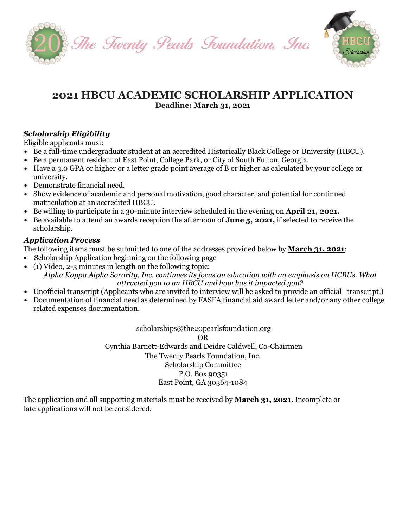



# **2021 HBCU ACADEMIC SCHOLARSHIP APPLICATION Deadline: March 31, 2021**

# *Scholarship Eligibility*

Eligible applicants must:

- *•* Be a full-time undergraduate student at an accredited Historically Black College or University (HBCU).
- *•* Be a permanent resident of East Point, College Park, or City of South Fulton, Georgia.
- *•* Have a 3.0 GPA or higher or a letter grade point average of B or higher as calculated by your college or university.
- *•* Demonstrate financial need.
- Show evidence of academic and personal motivation, good character, and potential for continued matriculation at an accredited HBCU.
- Be willing to participate in a 30-minute interview scheduled in the evening on **April 21, 2021.**
- *•* Be available to attend an awards reception the afternoon of **June 5, 2021,** if selected to receive the scholarship.

# *Application Process*

The following items must be submitted to one of the addresses provided below by **March 31, 2021**:

- *•* Scholarship Application beginning on the following page
- *•* (1) Video, 2-3 minutes in length on the following topic: *Alpha Kappa Alpha Sorority, Inc. continues its focus on education with an emphasis on HCBUs. What attracted you to an HBCU and how has it impacted you?*
- Unofficial transcript (Applicants who are invited to interview will be asked to provide an official transcript.)
- *•* Documentation of financial need as determined by FASFA financial aid award letter and/or any other college related expenses documentation.

[scholarships@the20pearlsfoundation.org](mailto:scholarships@the20pearlsfoundation.org) OR Cynthia Barnett-Edwards and Deidre Caldwell, Co-Chairmen The Twenty Pearls Foundation, Inc. Scholarship Committee P.O. Box 90351 East Point, GA 30364-1084

The application and all supporting materials must be received by **March 31, 2021**. Incomplete or late applications will not be considered.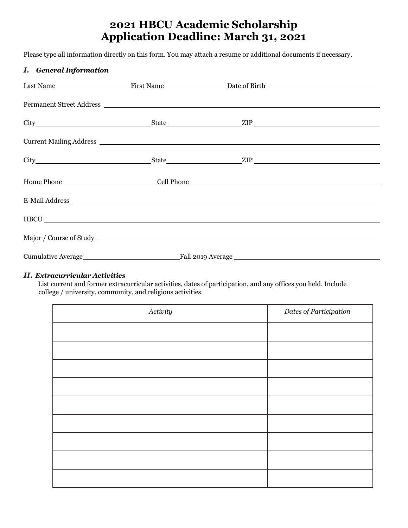# **2021 HBCU Academic Scholarship Application Deadline: March 31, 2021**

Please type all information directly on this form. You may attach a resume or additional documents if necessary.

#### *I. General Information*

|  | Permanent Street Address |  |
|--|--------------------------|--|
|  |                          |  |
|  |                          |  |
|  |                          |  |
|  |                          |  |
|  |                          |  |
|  | HBCU                     |  |
|  |                          |  |
|  |                          |  |

#### *II. Extracurricular Activities*

List current and former extracurricular activities, dates of participation, and any offices you held. Include college / university, community, and religious activities.

| Activity | Dates of Participation |
|----------|------------------------|
|          |                        |
|          |                        |
|          |                        |
|          |                        |
|          |                        |
|          |                        |
|          |                        |
|          |                        |
|          |                        |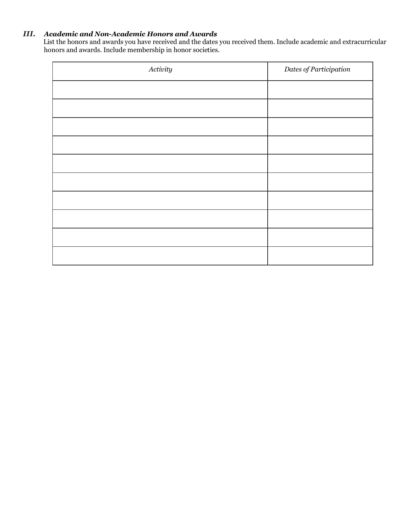#### *III. Academic and Non-Academic Honors and Awards*

List the honors and awards you have received and the dates you received them. Include academic and extracurricular honors and awards. Include membership in honor societies.

| Activity | Dates of Participation |
|----------|------------------------|
|          |                        |
|          |                        |
|          |                        |
|          |                        |
|          |                        |
|          |                        |
|          |                        |
|          |                        |
|          |                        |
|          |                        |